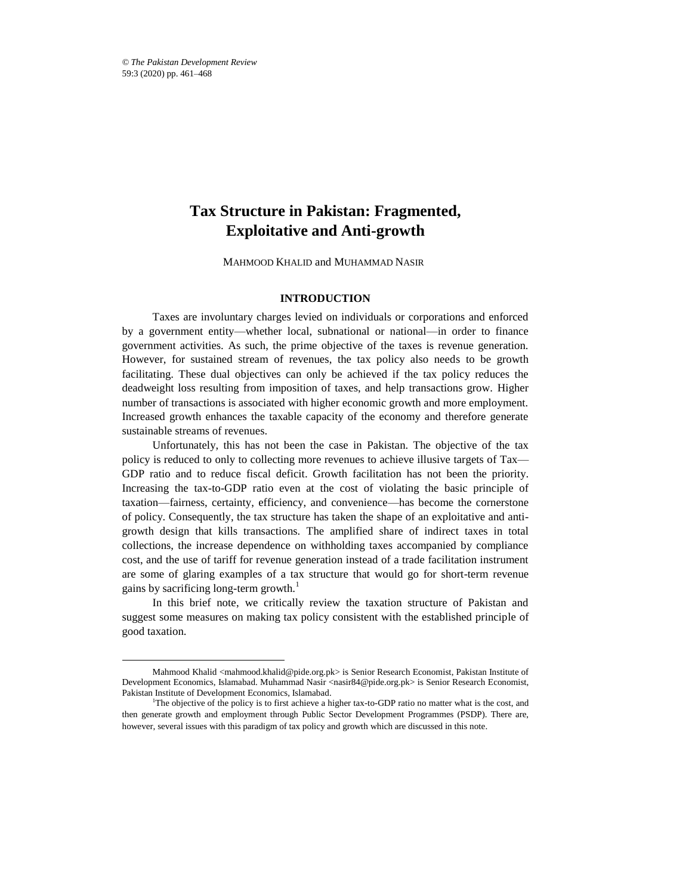$\overline{a}$ 

# **Tax Structure in Pakistan: Fragmented, Exploitative and Anti-growth**

MAHMOOD KHALID and MUHAMMAD NASIR\*

# **INTRODUCTION**

Taxes are involuntary charges levied on individuals or corporations and enforced by a government entity—whether local, subnational or national—in order to finance government activities. As such, the prime objective of the taxes is revenue generation. However, for sustained stream of revenues, the tax policy also needs to be growth facilitating. These dual objectives can only be achieved if the tax policy reduces the deadweight loss resulting from imposition of taxes, and help transactions grow. Higher number of transactions is associated with higher economic growth and more employment. Increased growth enhances the taxable capacity of the economy and therefore generate sustainable streams of revenues.

Unfortunately, this has not been the case in Pakistan. The objective of the tax policy is reduced to only to collecting more revenues to achieve illusive targets of Tax— GDP ratio and to reduce fiscal deficit. Growth facilitation has not been the priority. Increasing the tax-to-GDP ratio even at the cost of violating the basic principle of taxation—fairness, certainty, efficiency, and convenience—has become the cornerstone of policy. Consequently, the tax structure has taken the shape of an exploitative and antigrowth design that kills transactions. The amplified share of indirect taxes in total collections, the increase dependence on withholding taxes accompanied by compliance cost, and the use of tariff for revenue generation instead of a trade facilitation instrument are some of glaring examples of a tax structure that would go for short-term revenue gains by sacrificing long-term growth. $<sup>1</sup>$ </sup>

In this brief note, we critically review the taxation structure of Pakistan and suggest some measures on making tax policy consistent with the established principle of good taxation.

Mahmood Khalid <mahmood.khalid@pide.org.pk> is Senior Research Economist, Pakistan Institute of Development Economics, Islamabad. Muhammad Nasir <nasir84@pide.org.pk> is Senior Research Economist, Pakistan Institute of Development Economics, Islamabad.

<sup>&</sup>lt;sup>1</sup>The objective of the policy is to first achieve a higher tax-to-GDP ratio no matter what is the cost, and then generate growth and employment through Public Sector Development Programmes (PSDP). There are, however, several issues with this paradigm of tax policy and growth which are discussed in this note.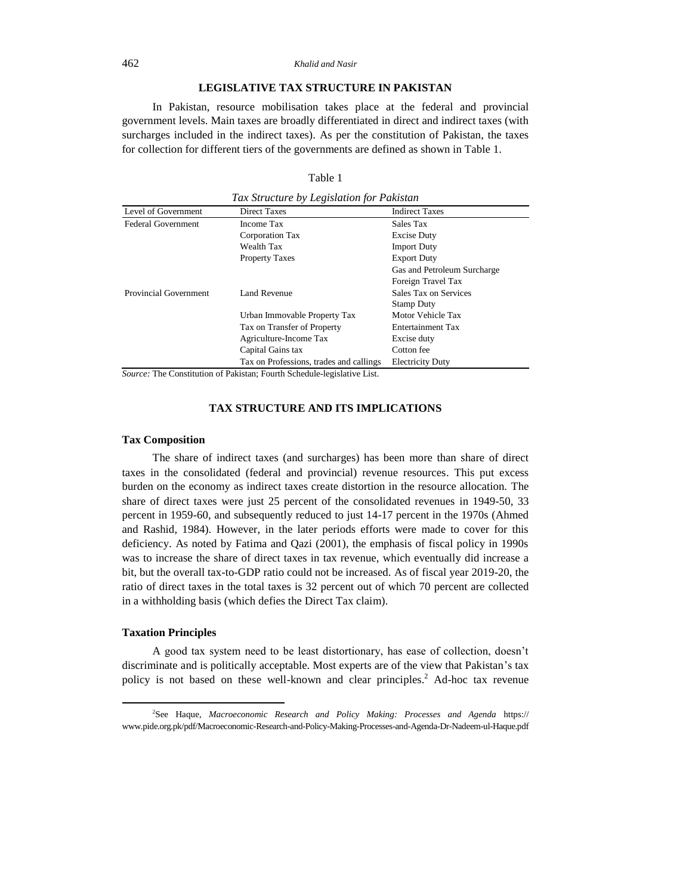## 462 *Khalid and Nasir*

## **LEGISLATIVE TAX STRUCTURE IN PAKISTAN**

In Pakistan, resource mobilisation takes place at the federal and provincial government levels. Main taxes are broadly differentiated in direct and indirect taxes (with surcharges included in the indirect taxes). As per the constitution of Pakistan, the taxes for collection for different tiers of the governments are defined as shown in Table 1.

## Table 1 *Tax Structure by Legislation for Pakistan*

| Tax Structure by Legistation for Pakistan |                                         |                             |  |  |  |  |
|-------------------------------------------|-----------------------------------------|-----------------------------|--|--|--|--|
| Level of Government                       | <b>Direct Taxes</b>                     | <b>Indirect Taxes</b>       |  |  |  |  |
| <b>Federal Government</b>                 | Income Tax                              | Sales Tax                   |  |  |  |  |
|                                           | Corporation Tax                         | <b>Excise Duty</b>          |  |  |  |  |
|                                           | Wealth Tax                              | <b>Import Duty</b>          |  |  |  |  |
|                                           | <b>Property Taxes</b>                   | <b>Export Duty</b>          |  |  |  |  |
|                                           |                                         | Gas and Petroleum Surcharge |  |  |  |  |
|                                           |                                         | Foreign Travel Tax          |  |  |  |  |
| Provincial Government                     | Land Revenue                            | Sales Tax on Services       |  |  |  |  |
|                                           |                                         | <b>Stamp Duty</b>           |  |  |  |  |
|                                           | Urban Immovable Property Tax            | Motor Vehicle Tax           |  |  |  |  |
|                                           | Tax on Transfer of Property             | <b>Entertainment Tax</b>    |  |  |  |  |
|                                           | Agriculture-Income Tax                  | Excise duty                 |  |  |  |  |
|                                           | Capital Gains tax                       | Cotton fee                  |  |  |  |  |
|                                           | Tax on Professions, trades and callings | <b>Electricity Duty</b>     |  |  |  |  |

*Source:* The Constitution of Pakistan; Fourth Schedule-legislative List.

## **TAX STRUCTURE AND ITS IMPLICATIONS**

#### **Tax Composition**

The share of indirect taxes (and surcharges) has been more than share of direct taxes in the consolidated (federal and provincial) revenue resources. This put excess burden on the economy as indirect taxes create distortion in the resource allocation. The share of direct taxes were just 25 percent of the consolidated revenues in 1949-50, 33 percent in 1959-60, and subsequently reduced to just 14-17 percent in the 1970s (Ahmed and Rashid, 1984). However, in the later periods efforts were made to cover for this deficiency. As noted by Fatima and Qazi (2001), the emphasis of fiscal policy in 1990s was to increase the share of direct taxes in tax revenue, which eventually did increase a bit, but the overall tax-to-GDP ratio could not be increased. As of fiscal year 2019-20, the ratio of direct taxes in the total taxes is 32 percent out of which 70 percent are collected in a withholding basis (which defies the Direct Tax claim).

## **Taxation Principles**

 $\overline{a}$ 

A good tax system need to be least distortionary, has ease of collection, doesn't discriminate and is politically acceptable. Most experts are of the view that Pakistan's tax policy is not based on these well-known and clear principles.<sup>2</sup> Ad-hoc tax revenue

<sup>2</sup> See Haque, *Macroeconomic Research and Policy Making: Processes and Agenda* https:// www.pide.org.pk/pdf/Macroeconomic-Research-and-Policy-Making-Processes-and-Agenda-Dr-Nadeem-ul-Haque.pdf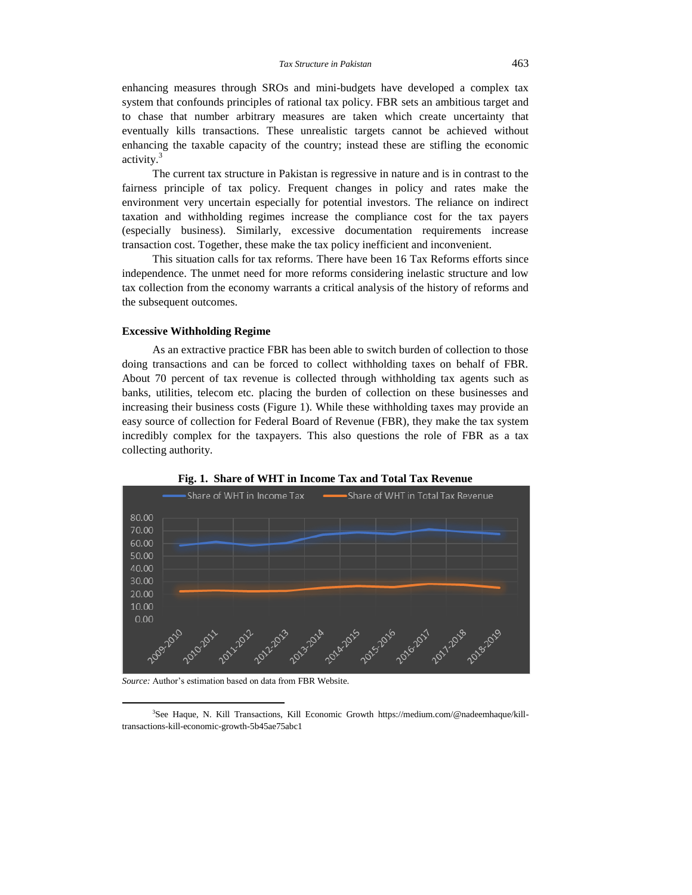enhancing measures through SROs and mini-budgets have developed a complex tax system that confounds principles of rational tax policy. FBR sets an ambitious target and to chase that number arbitrary measures are taken which create uncertainty that eventually kills transactions. These unrealistic targets cannot be achieved without enhancing the taxable capacity of the country; instead these are stifling the economic activity. 3

The current tax structure in Pakistan is regressive in nature and is in contrast to the fairness principle of tax policy. Frequent changes in policy and rates make the environment very uncertain especially for potential investors. The reliance on indirect taxation and withholding regimes increase the compliance cost for the tax payers (especially business). Similarly, excessive documentation requirements increase transaction cost. Together, these make the tax policy inefficient and inconvenient.

This situation calls for tax reforms. There have been 16 Tax Reforms efforts since independence. The unmet need for more reforms considering inelastic structure and low tax collection from the economy warrants a critical analysis of the history of reforms and the subsequent outcomes.

#### **Excessive Withholding Regime**

As an extractive practice FBR has been able to switch burden of collection to those doing transactions and can be forced to collect withholding taxes on behalf of FBR. About 70 percent of tax revenue is collected through withholding tax agents such as banks, utilities, telecom etc. placing the burden of collection on these businesses and increasing their business costs (Figure 1). While these withholding taxes may provide an easy source of collection for Federal Board of Revenue (FBR), they make the tax system incredibly complex for the taxpayers. This also questions the role of FBR as a tax collecting authority.



**Fig. 1. Share of WHT in Income Tax and Total Tax Revenue**

*Source:* Author's estimation based on data from FBR Website.

 $\overline{a}$ 

<sup>3</sup> See Haque, N. Kill Transactions, Kill Economic Growth https://medium.com/@nadeemhaque/killtransactions-kill-economic-growth-5b45ae75abc1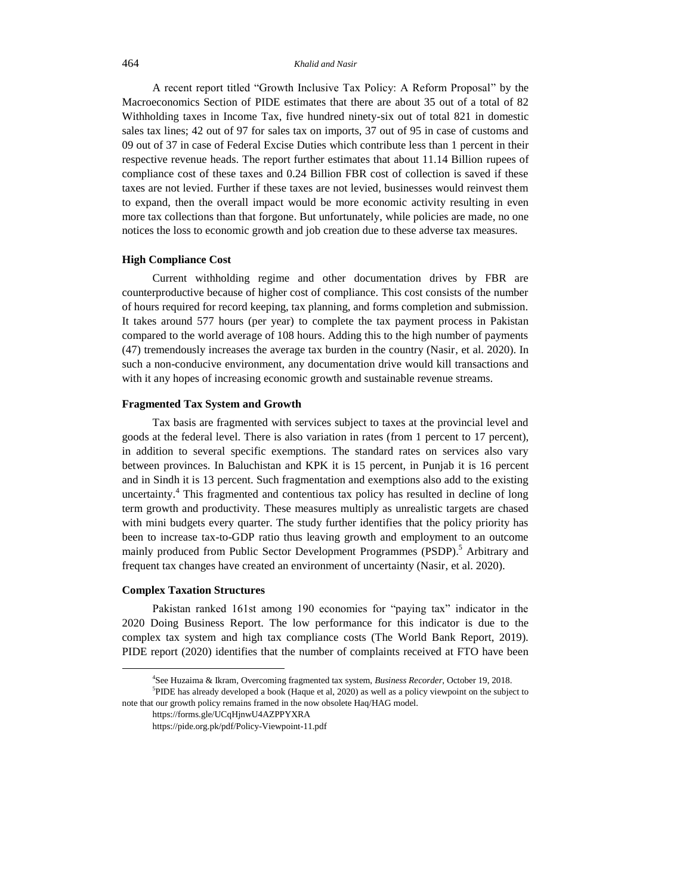#### 464 *Khalid and Nasir*

A recent report titled "Growth Inclusive Tax Policy: A Reform Proposal" by the Macroeconomics Section of PIDE estimates that there are about 35 out of a total of 82 Withholding taxes in Income Tax, five hundred ninety-six out of total 821 in domestic sales tax lines; 42 out of 97 for sales tax on imports, 37 out of 95 in case of customs and 09 out of 37 in case of Federal Excise Duties which contribute less than 1 percent in their respective revenue heads. The report further estimates that about 11.14 Billion rupees of compliance cost of these taxes and 0.24 Billion FBR cost of collection is saved if these taxes are not levied. Further if these taxes are not levied, businesses would reinvest them to expand, then the overall impact would be more economic activity resulting in even more tax collections than that forgone. But unfortunately, while policies are made, no one notices the loss to economic growth and job creation due to these adverse tax measures.

# **High Compliance Cost**

Current withholding regime and other documentation drives by FBR are counterproductive because of higher cost of compliance. This cost consists of the number of hours required for record keeping, tax planning, and forms completion and submission. It takes around 577 hours (per year) to complete the tax payment process in Pakistan compared to the world average of 108 hours. Adding this to the high number of payments (47) tremendously increases the average tax burden in the country (Nasir, et al. 2020). In such a non-conducive environment, any documentation drive would kill transactions and with it any hopes of increasing economic growth and sustainable revenue streams.

## **Fragmented Tax System and Growth**

Tax basis are fragmented with services subject to taxes at the provincial level and goods at the federal level. There is also variation in rates (from 1 percent to 17 percent), in addition to several specific exemptions. The standard rates on services also vary between provinces. In Baluchistan and KPK it is 15 percent, in Punjab it is 16 percent and in Sindh it is 13 percent. Such fragmentation and exemptions also add to the existing uncertainty. <sup>4</sup> This fragmented and contentious tax policy has resulted in decline of long term growth and productivity. These measures multiply as unrealistic targets are chased with mini budgets every quarter. The study further identifies that the policy priority has been to increase tax-to-GDP ratio thus leaving growth and employment to an outcome mainly produced from Public Sector Development Programmes (PSDP).<sup>5</sup> Arbitrary and frequent tax changes have created an environment of uncertainty (Nasir, et al. 2020).

## **Complex Taxation Structures**

 $\overline{a}$ 

Pakistan ranked 161st among 190 economies for "paying tax" indicator in the 2020 Doing Business Report. The low performance for this indicator is due to the complex tax system and high tax compliance costs (The World Bank Report, 2019). PIDE report (2020) identifies that the number of complaints received at FTO have been

<sup>4</sup> See Huzaima & Ikram, Overcoming fragmented tax system, *Business Recorder*, October 19, 2018.

<sup>5</sup> PIDE has already developed a book (Haque et al, 2020) as well as a policy viewpoint on the subject to note that our growth policy remains framed in the now obsolete Haq/HAG model.

https://forms.gle/UCqHjnwU4AZPPYXRA

https://pide.org.pk/pdf/Policy-Viewpoint-11.pdf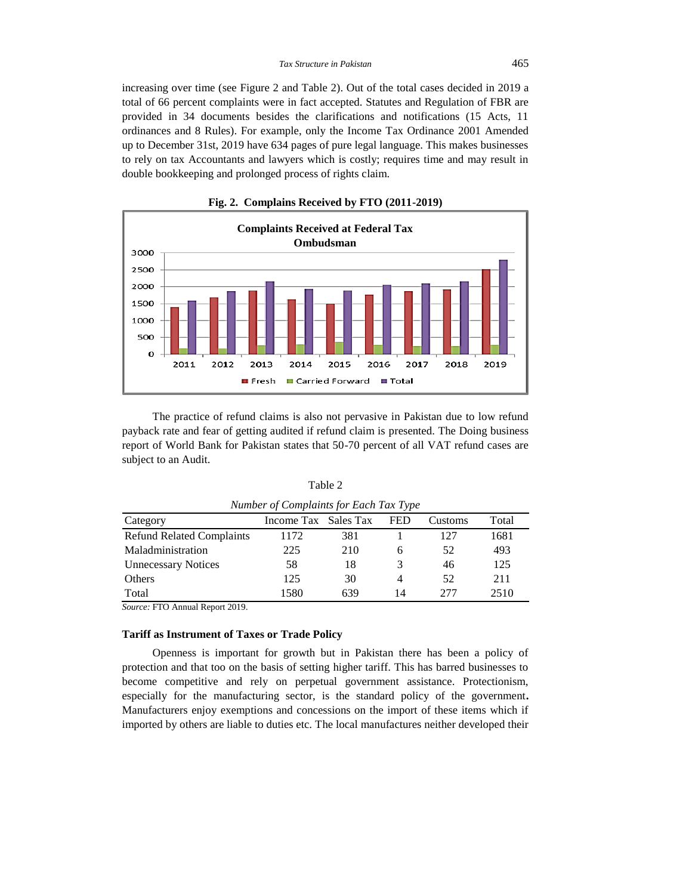increasing over time (see Figure 2 and Table 2). Out of the total cases decided in 2019 a total of 66 percent complaints were in fact accepted. Statutes and Regulation of FBR are provided in 34 documents besides the clarifications and notifications (15 Acts, 11 ordinances and 8 Rules). For example, only the Income Tax Ordinance 2001 Amended up to December 31st, 2019 have 634 pages of pure legal language. This makes businesses to rely on tax Accountants and lawyers which is costly; requires time and may result in double bookkeeping and prolonged process of rights claim.



**Fig. 2. Complains Received by FTO (2011-2019)**

The practice of refund claims is also not pervasive in Pakistan due to low refund payback rate and fear of getting audited if refund claim is presented. The Doing business report of World Bank for Pakistan states that 50-70 percent of all VAT refund cases are subject to an Audit.

| <i>ivaniver v</i> Complaints for Each Tax Type |                      |     |            |         |       |  |  |
|------------------------------------------------|----------------------|-----|------------|---------|-------|--|--|
| Category                                       | Income Tax Sales Tax |     | <b>FED</b> | Customs | Total |  |  |
| <b>Refund Related Complaints</b>               | 1172                 | 381 |            | 127     | 1681  |  |  |
| Maladministration                              | 225                  | 210 | 6          | 52      | 493   |  |  |
| <b>Unnecessary Notices</b>                     | 58                   | 18  |            | 46      | 125   |  |  |
| Others                                         | 125                  | 30  | 4          | 52      | 211   |  |  |
| Total                                          | 1580                 | 639 | 14         | 277     | 2510  |  |  |

Table 2 *Number of Complaints for Each Tax Type*

*Source:* FTO Annual Report 2019.

# **Tariff as Instrument of Taxes or Trade Policy**

Openness is important for growth but in Pakistan there has been a policy of protection and that too on the basis of setting higher tariff. This has barred businesses to become competitive and rely on perpetual government assistance. Protectionism, especially for the manufacturing sector, is the standard policy of the government**.**  Manufacturers enjoy exemptions and concessions on the import of these items which if imported by others are liable to duties etc. The local manufactures neither developed their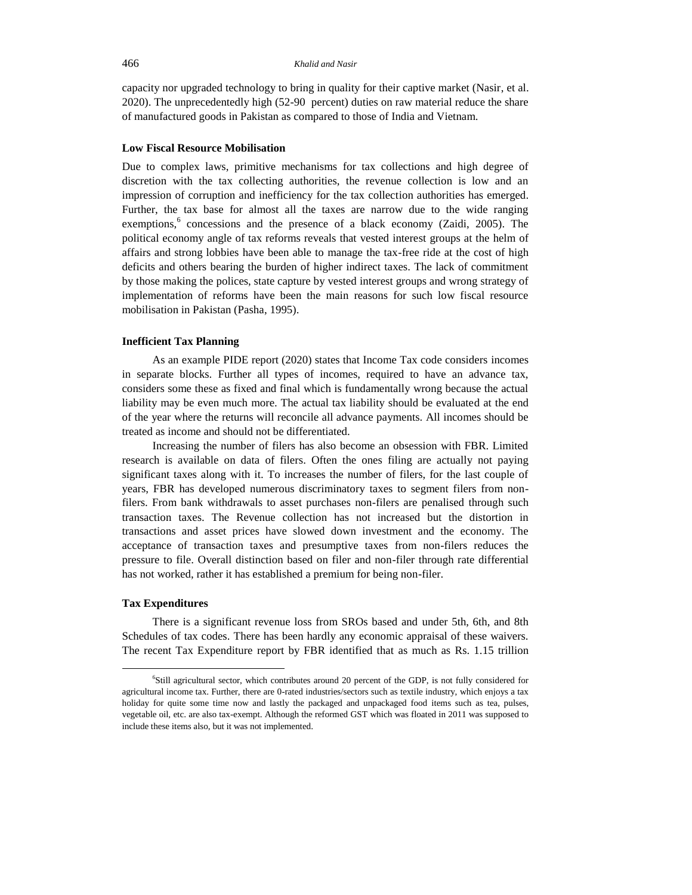capacity nor upgraded technology to bring in quality for their captive market (Nasir, et al. 2020). The unprecedentedly high (52-90 percent) duties on raw material reduce the share of manufactured goods in Pakistan as compared to those of India and Vietnam.

#### **Low Fiscal Resource Mobilisation**

Due to complex laws, primitive mechanisms for tax collections and high degree of discretion with the tax collecting authorities, the revenue collection is low and an impression of corruption and inefficiency for the tax collection authorities has emerged. Further, the tax base for almost all the taxes are narrow due to the wide ranging exemptions,<sup>6</sup> concessions and the presence of a black economy (Zaidi, 2005). The political economy angle of tax reforms reveals that vested interest groups at the helm of affairs and strong lobbies have been able to manage the tax-free ride at the cost of high deficits and others bearing the burden of higher indirect taxes. The lack of commitment by those making the polices, state capture by vested interest groups and wrong strategy of implementation of reforms have been the main reasons for such low fiscal resource mobilisation in Pakistan (Pasha, 1995).

## **Inefficient Tax Planning**

As an example PIDE report (2020) states that Income Tax code considers incomes in separate blocks. Further all types of incomes, required to have an advance tax, considers some these as fixed and final which is fundamentally wrong because the actual liability may be even much more. The actual tax liability should be evaluated at the end of the year where the returns will reconcile all advance payments. All incomes should be treated as income and should not be differentiated.

Increasing the number of filers has also become an obsession with FBR. Limited research is available on data of filers. Often the ones filing are actually not paying significant taxes along with it. To increases the number of filers, for the last couple of years, FBR has developed numerous discriminatory taxes to segment filers from nonfilers. From bank withdrawals to asset purchases non-filers are penalised through such transaction taxes. The Revenue collection has not increased but the distortion in transactions and asset prices have slowed down investment and the economy. The acceptance of transaction taxes and presumptive taxes from non-filers reduces the pressure to file. Overall distinction based on filer and non-filer through rate differential has not worked, rather it has established a premium for being non-filer.

## **Tax Expenditures**

 $\overline{a}$ 

There is a significant revenue loss from SROs based and under 5th, 6th, and 8th Schedules of tax codes. There has been hardly any economic appraisal of these waivers. The recent Tax Expenditure report by FBR identified that as much as Rs. 1.15 trillion

<sup>6</sup> Still agricultural sector, which contributes around 20 percent of the GDP, is not fully considered for agricultural income tax. Further, there are 0-rated industries/sectors such as textile industry, which enjoys a tax holiday for quite some time now and lastly the packaged and unpackaged food items such as tea, pulses, vegetable oil, etc. are also tax-exempt. Although the reformed GST which was floated in 2011 was supposed to include these items also, but it was not implemented.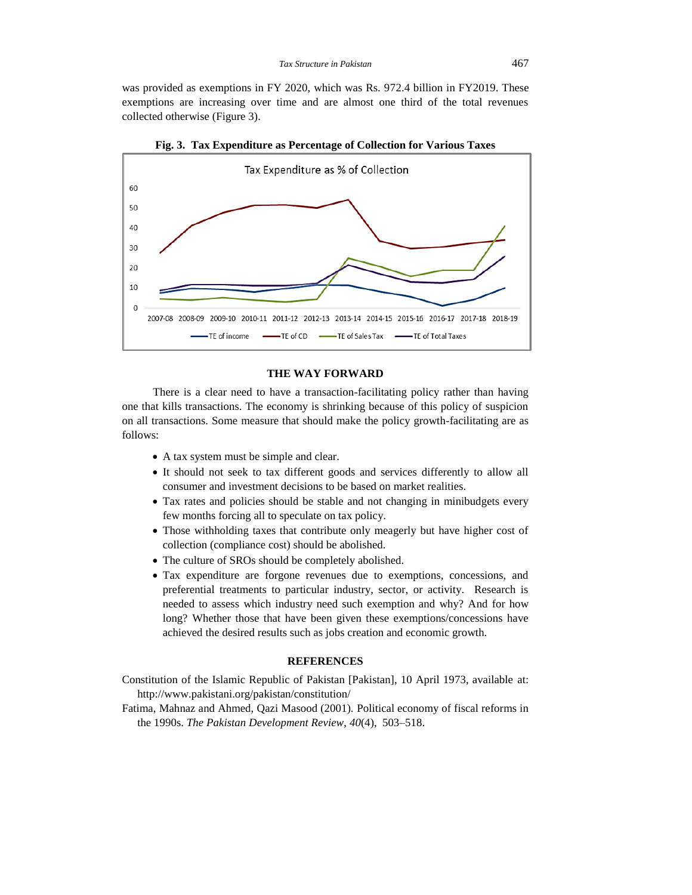was provided as exemptions in FY 2020, which was Rs. 972.4 billion in FY2019. These exemptions are increasing over time and are almost one third of the total revenues collected otherwise (Figure 3).



**Fig. 3. Tax Expenditure as Percentage of Collection for Various Taxes**

## **THE WAY FORWARD**

There is a clear need to have a transaction-facilitating policy rather than having one that kills transactions. The economy is shrinking because of this policy of suspicion on all transactions. Some measure that should make the policy growth-facilitating are as follows:

- A tax system must be simple and clear.
- It should not seek to tax different goods and services differently to allow all consumer and investment decisions to be based on market realities.
- Tax rates and policies should be stable and not changing in minibudgets every few months forcing all to speculate on tax policy.
- Those withholding taxes that contribute only meagerly but have higher cost of collection (compliance cost) should be abolished.
- The culture of SROs should be completely abolished.
- Tax expenditure are forgone revenues due to exemptions, concessions, and preferential treatments to particular industry, sector, or activity. Research is needed to assess which industry need such exemption and why? And for how long? Whether those that have been given these exemptions/concessions have achieved the desired results such as jobs creation and economic growth.

## **REFERENCES**

Constitution of the Islamic Republic of Pakistan [Pakistan], 10 April 1973, available at: http://www.pakistani.org/pakistan/constitution/

Fatima, Mahnaz and Ahmed, Qazi Masood (2001). Political economy of fiscal reforms in the 1990s. *The Pakistan Development Review*, *40*(4), 503–518.